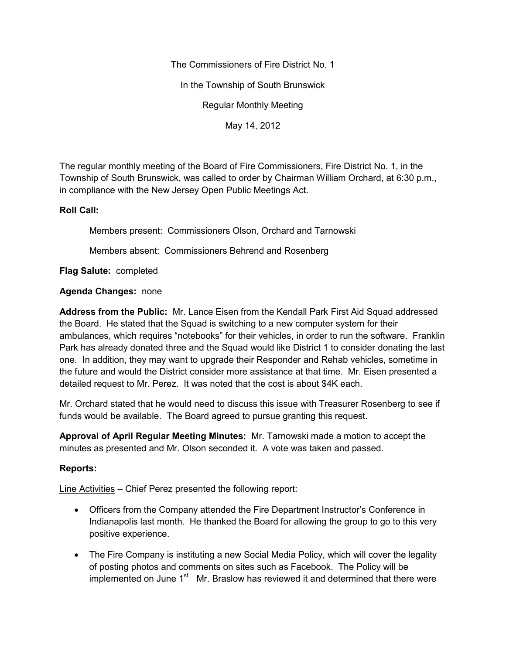The Commissioners of Fire District No. 1

In the Township of South Brunswick

Regular Monthly Meeting

May 14, 2012

The regular monthly meeting of the Board of Fire Commissioners, Fire District No. 1, in the Township of South Brunswick, was called to order by Chairman William Orchard, at 6:30 p.m., in compliance with the New Jersey Open Public Meetings Act.

## **Roll Call:**

Members present: Commissioners Olson, Orchard and Tarnowski

Members absent: Commissioners Behrend and Rosenberg

**Flag Salute:** completed

## **Agenda Changes:** none

**Address from the Public:** Mr. Lance Eisen from the Kendall Park First Aid Squad addressed the Board. He stated that the Squad is switching to a new computer system for their ambulances, which requires "notebooks" for their vehicles, in order to run the software. Franklin Park has already donated three and the Squad would like District 1 to consider donating the last one. In addition, they may want to upgrade their Responder and Rehab vehicles, sometime in the future and would the District consider more assistance at that time. Mr. Eisen presented a detailed request to Mr. Perez. It was noted that the cost is about \$4K each.

Mr. Orchard stated that he would need to discuss this issue with Treasurer Rosenberg to see if funds would be available. The Board agreed to pursue granting this request.

**Approval of April Regular Meeting Minutes:** Mr. Tarnowski made a motion to accept the minutes as presented and Mr. Olson seconded it. A vote was taken and passed.

## **Reports:**

Line Activities – Chief Perez presented the following report:

- Officers from the Company attended the Fire Department Instructor's Conference in Indianapolis last month. He thanked the Board for allowing the group to go to this very positive experience.
- The Fire Company is instituting a new Social Media Policy, which will cover the legality of posting photos and comments on sites such as Facebook. The Policy will be implemented on June 1<sup>st.</sup> Mr. Braslow has reviewed it and determined that there were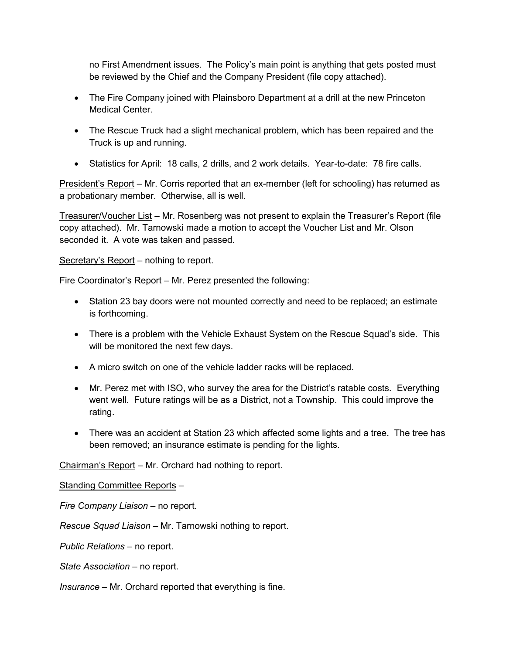no First Amendment issues. The Policy's main point is anything that gets posted must be reviewed by the Chief and the Company President (file copy attached).

- The Fire Company joined with Plainsboro Department at a drill at the new Princeton Medical Center.
- The Rescue Truck had a slight mechanical problem, which has been repaired and the Truck is up and running.
- Statistics for April: 18 calls, 2 drills, and 2 work details. Year-to-date: 78 fire calls.

President's Report – Mr. Corris reported that an ex-member (left for schooling) has returned as a probationary member. Otherwise, all is well.

Treasurer/Voucher List – Mr. Rosenberg was not present to explain the Treasurer's Report (file copy attached). Mr. Tarnowski made a motion to accept the Voucher List and Mr. Olson seconded it. A vote was taken and passed.

Secretary's Report – nothing to report.

Fire Coordinator's Report – Mr. Perez presented the following:

- Station 23 bay doors were not mounted correctly and need to be replaced; an estimate is forthcoming.
- There is a problem with the Vehicle Exhaust System on the Rescue Squad's side. This will be monitored the next few days.
- A micro switch on one of the vehicle ladder racks will be replaced.
- Mr. Perez met with ISO, who survey the area for the District's ratable costs. Everything went well. Future ratings will be as a District, not a Township. This could improve the rating.
- There was an accident at Station 23 which affected some lights and a tree. The tree has been removed; an insurance estimate is pending for the lights.

Chairman's Report – Mr. Orchard had nothing to report.

Standing Committee Reports –

*Fire Company Liaison –* no report.

*Rescue Squad Liaison –* Mr. Tarnowski nothing to report.

*Public Relations* – no report.

*State Association* – no report.

*Insurance –* Mr. Orchard reported that everything is fine.